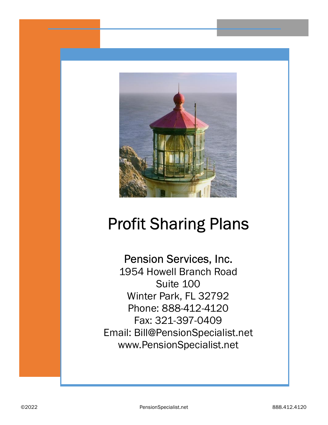

# Profit Sharing Plans

# Pension Services, Inc.

1954 Howell Branch Road Suite 100 Winter Park, FL 32792 Phone: 888-412-4120 Fax: 321-397-0409 Email: Bill@PensionSpecialist.net www.PensionSpecialist.net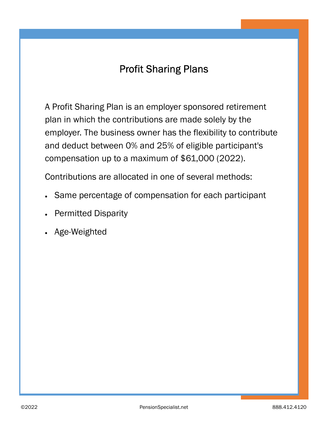## Profit Sharing Plans

A Profit Sharing Plan is an employer sponsored retirement plan in which the contributions are made solely by the employer. The business owner has the flexibility to contribute and deduct between 0% and 25% of eligible participant's compensation up to a maximum of \$61,000 (2022).

Contributions are allocated in one of several methods:

- · Same percentage of compensation for each participant
- **Permitted Disparity**
- Age-Weighted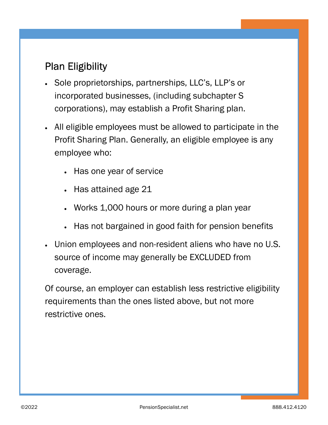# Plan Eligibility

- Sole proprietorships, partnerships, LLC's, LLP's or incorporated businesses, (including subchapter S corporations), may establish a Profit Sharing plan.
- · All eligible employees must be allowed to participate in the Profit Sharing Plan. Generally, an eligible employee is any employee who:
	- Has one year of service
	- · Has attained age 21
	- · Works 1,000 hours or more during a plan year
	- Has not bargained in good faith for pension benefits
- · Union employees and non-resident aliens who have no U.S. source of income may generally be EXCLUDED from coverage.

Of course, an employer can establish less restrictive eligibility requirements than the ones listed above, but not more restrictive ones.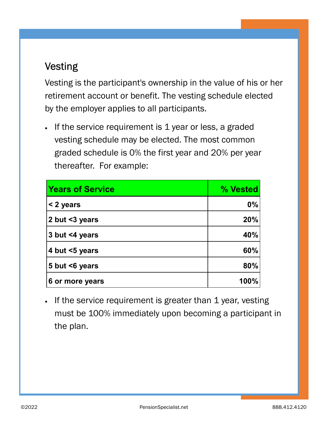## Vesting

Vesting is the participant's ownership in the value of his or her retirement account or benefit. The vesting schedule elected by the employer applies to all participants.

• If the service requirement is 1 year or less, a graded vesting schedule may be elected. The most common graded schedule is 0% the first year and 20% per year thereafter. For example:

| <b>Years of Service</b> | % Vested |
|-------------------------|----------|
| < 2 years               | $0\%$    |
| 2 but <3 years          | 20%      |
| 3 but <4 years          | 40%      |
| 4 but <5 years          | 60%      |
| 5 but $\leq 6$ years    | 80%      |
| 6 or more years         | 100%     |

• If the service requirement is greater than 1 year, vesting must be 100% immediately upon becoming a participant in the plan.